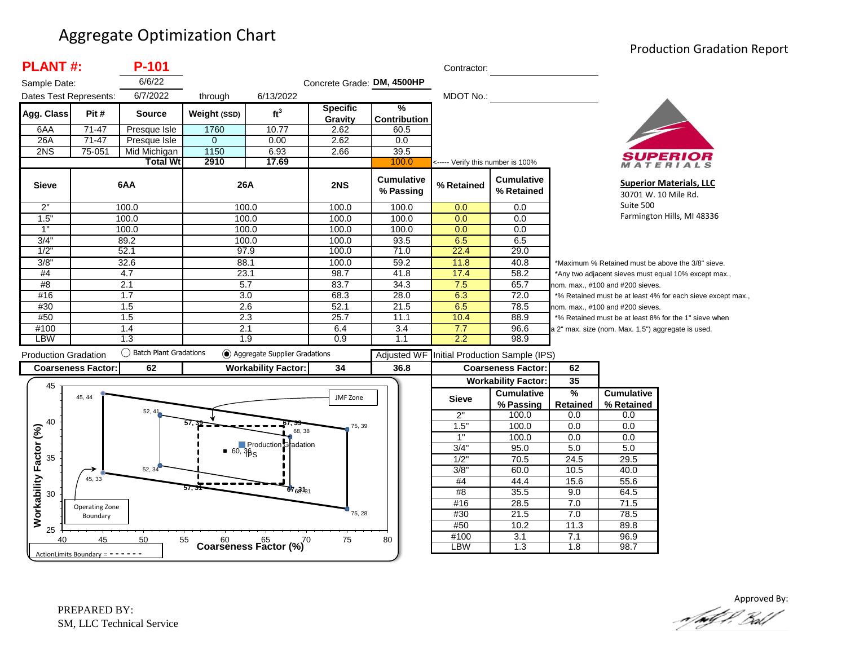#### Aggregate Optimization Chart

#### Production Gradation Report

| <b>PLANT#:</b>               |                                   | $P-101$                  |                |                                                 |                            |                          | Contractor:                       |                                 |                                                             |                                                    |                                                        |  |
|------------------------------|-----------------------------------|--------------------------|----------------|-------------------------------------------------|----------------------------|--------------------------|-----------------------------------|---------------------------------|-------------------------------------------------------------|----------------------------------------------------|--------------------------------------------------------|--|
| Sample Date:                 |                                   | 6/6/22                   |                |                                                 | Concrete Grade: DM, 4500HP |                          |                                   |                                 |                                                             |                                                    |                                                        |  |
| Dates Test Represents:       |                                   | 6/7/2022                 | through        | 6/13/2022                                       |                            |                          | MDOT No.:                         |                                 |                                                             |                                                    |                                                        |  |
| Agg. Class                   | Pit#                              | <b>Source</b>            | Weight (SSD)   | ft <sup>3</sup>                                 | <b>Specific</b><br>Gravity | %<br><b>Contribution</b> |                                   |                                 |                                                             |                                                    |                                                        |  |
| 6AA                          | $71 - 47$                         | Presque Isle             | 1760           | 10.77                                           | 2.62                       | 60.5                     |                                   |                                 |                                                             |                                                    |                                                        |  |
| 26A                          | $71 - 47$                         | Presque Isle             | $\overline{0}$ | 0.00                                            | 2.62                       | 0.0                      |                                   |                                 |                                                             |                                                    |                                                        |  |
| 2NS                          | 75-051                            | Mid Michigan             | 1150           | 6.93                                            | 2.66                       | 39.5                     |                                   |                                 |                                                             |                                                    | SUPERIOR                                               |  |
|                              |                                   | <b>Total Wt</b>          | 2910           | 17.69                                           |                            | 100.0                    | <----- Verify this number is 100% |                                 |                                                             |                                                    | MATERIALS                                              |  |
| <b>Sieve</b>                 |                                   | 6AA                      | 26A            |                                                 | 2NS                        | Cumulative<br>% Passing  | % Retained                        | <b>Cumulative</b><br>% Retained |                                                             |                                                    | <b>Superior Materials, LLC</b><br>30701 W. 10 Mile Rd. |  |
| 2"                           |                                   | 100.0                    | 100.0          |                                                 | 100.0                      | 100.0                    | 0.0                               | 0.0                             | Suite 500                                                   |                                                    |                                                        |  |
| 1.5"                         |                                   | 100.0                    | 100.0          |                                                 | 100.0                      | 100.0                    | 0.0                               | 0.0                             |                                                             | Farmington Hills, MI 48336                         |                                                        |  |
| 1"                           |                                   | 100.0                    | 100.0          |                                                 | 100.0                      | 100.0                    | 0.0                               | 0.0                             |                                                             |                                                    |                                                        |  |
| 3/4'                         |                                   | 89.2                     | 100.0          |                                                 | 100.0                      | 93.5                     | 6.5                               | 6.5                             |                                                             |                                                    |                                                        |  |
| 1/2                          |                                   | 52.1                     | 97.9           |                                                 | 100.0                      | 71.0                     | 22.4                              | 29.0                            |                                                             |                                                    |                                                        |  |
| 3/8'                         |                                   | 32.6                     | 88.1           |                                                 | 100.0                      | 59.2                     | 11.8                              | 40.8                            |                                                             | *Maximum % Retained must be above the 3/8" sieve.  |                                                        |  |
| #4                           |                                   | 4.7                      | 23.1           |                                                 | 98.7                       | 41.8                     | 17.4                              | 58.2                            |                                                             |                                                    | *Any two adjacent sieves must equal 10% except max.,   |  |
| #8                           |                                   | 2.1                      | 5.7            |                                                 | 83.7                       | 34.3                     | 7.5                               | 65.7                            |                                                             | nom. max., #100 and #200 sieves.                   |                                                        |  |
| #16                          |                                   | 1.7                      | 3.0            |                                                 | 68.3                       | 28.0                     | 6.3                               | 72.0                            | *% Retained must be at least 4% for each sieve except max., |                                                    |                                                        |  |
| #30                          |                                   | 1.5                      | 2.6            |                                                 | 52.1                       | 21.5                     | 6.5                               | 78.5                            | nom. max., #100 and #200 sieves.                            |                                                    |                                                        |  |
| #50                          |                                   | 1.5                      | 2.3            |                                                 | 25.7                       | 11.1                     | 10.4                              | 88.9                            |                                                             |                                                    | *% Retained must be at least 8% for the 1" sieve when  |  |
| #100<br><b>LBW</b>           |                                   | 1.4<br>1.3               | 2.1            |                                                 | 6.4<br>0.9                 | 3.4                      | 7.7<br>2.2                        | 96.6<br>98.9                    |                                                             | a 2" max. size (nom. Max. 1.5") aggregate is used. |                                                        |  |
|                              |                                   |                          | 1.9            |                                                 |                            | 1.1                      |                                   |                                 |                                                             |                                                    |                                                        |  |
| <b>Production Gradation</b>  |                                   | ◯ Batch Plant Gradations |                | Aggregate Supplier Gradations                   |                            | Adjusted WF              |                                   | Initial Production Sample (IPS) |                                                             |                                                    |                                                        |  |
|                              | <b>Coarseness Factor:</b>         | 62                       |                | <b>Workability Factor:</b>                      | 34                         | 36.8                     |                                   | <b>Coarseness Factor:</b>       | 62                                                          |                                                    |                                                        |  |
| 45                           |                                   |                          |                |                                                 |                            |                          |                                   | <b>Workability Factor:</b>      | 35                                                          |                                                    |                                                        |  |
|                              | 45, 44                            |                          |                |                                                 | JMF Zone                   |                          |                                   | <b>Cumulative</b>               | $\frac{9}{6}$                                               | <b>Cumulative</b>                                  |                                                        |  |
|                              |                                   |                          |                |                                                 |                            |                          | <b>Sieve</b>                      | % Passing                       | Retained                                                    | % Retained                                         |                                                        |  |
|                              |                                   | 52, 41                   |                |                                                 |                            |                          | 2"                                | 100.0                           | 0.0                                                         | 0.0                                                |                                                        |  |
| 40                           |                                   |                          |                | 68, 38                                          | 75, 39                     |                          | 1.5"                              | 100.0                           | 0.0                                                         | 0.0                                                |                                                        |  |
|                              |                                   |                          |                |                                                 |                            |                          | 1"                                | 100.0                           | 0.0                                                         | 0.0                                                |                                                        |  |
|                              |                                   |                          |                | Production Gradation                            |                            |                          | 3/4"                              | 95.0                            | 5.0                                                         | 5.0                                                |                                                        |  |
| 35                           |                                   |                          |                |                                                 |                            |                          | 1/2                               | 70.5                            | 24.5                                                        | 29.5                                               |                                                        |  |
|                              | 45, 33                            | 52, 34                   |                |                                                 |                            |                          | 3/8"                              | 60.0                            | 10.5                                                        | 40.0                                               |                                                        |  |
|                              |                                   |                          | 57. .          | $67_{6}31_{31}$                                 |                            |                          | #4                                | 44.4                            | 15.6                                                        | 55.6                                               |                                                        |  |
| Workability Factor (%)<br>30 |                                   |                          |                |                                                 |                            |                          | #8                                | 35.5                            | 9.0                                                         | 64.5                                               |                                                        |  |
|                              | Operating Zone                    |                          |                |                                                 |                            |                          | #16                               | 28.5                            | 7.0                                                         | 71.5                                               |                                                        |  |
|                              | Boundary                          |                          |                |                                                 | 75, 28                     |                          | #30<br>#50                        | 21.5                            | 7.0                                                         | 78.5                                               |                                                        |  |
| 25                           |                                   |                          |                |                                                 |                            |                          | #100                              | 10.2<br>$\overline{3.1}$        | 11.3<br>7.1                                                 | 89.8<br>96.9                                       |                                                        |  |
| 40                           | 45                                | 50                       | 55             | Coarseness Factor $\binom{60}{6}$ <sup>70</sup> | 75                         | 80                       | <b>LBW</b>                        | 1.3                             | 1.8                                                         | 98.7                                               |                                                        |  |
|                              | ActionLimits Boundary = - - - - - |                          |                |                                                 |                            |                          |                                   |                                 |                                                             |                                                    |                                                        |  |



Approved By:<br>Approved By: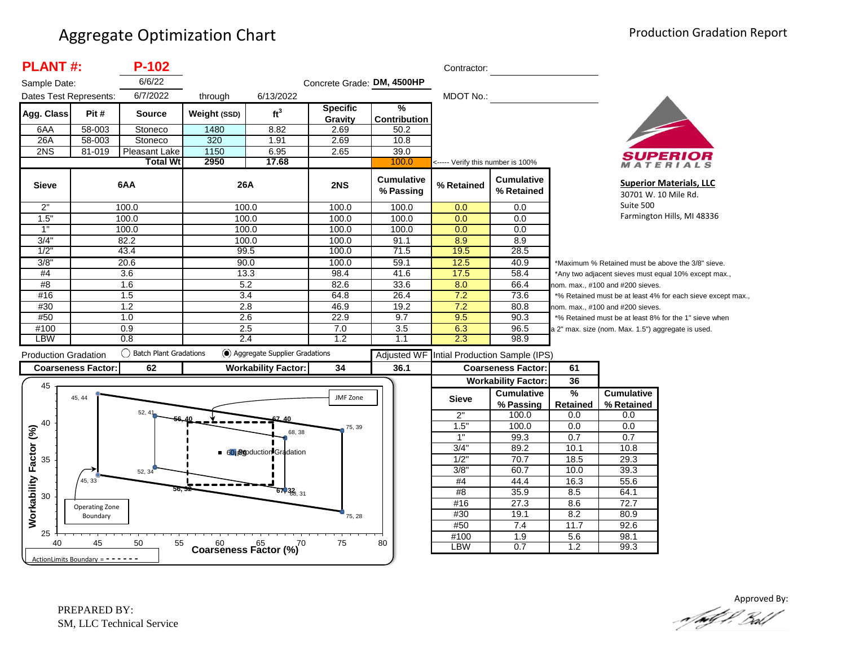| <b>PLANT#:</b>                         |                           | $P-102$                   |                                            |                               |                            |                                      | Contractor:                       |                                 |                                  |                                                    |                                                             |
|----------------------------------------|---------------------------|---------------------------|--------------------------------------------|-------------------------------|----------------------------|--------------------------------------|-----------------------------------|---------------------------------|----------------------------------|----------------------------------------------------|-------------------------------------------------------------|
| Sample Date:<br>Dates Test Represents: |                           | 6/6/22<br>6/7/2022        | through                                    | 6/13/2022                     | Concrete Grade: DM, 4500HP |                                      | MDOT No.:                         |                                 |                                  |                                                    |                                                             |
| Agg. Class                             | Pit#                      | <b>Source</b>             | Weight (SSD)                               | ft <sup>3</sup>               | <b>Specific</b><br>Gravity | $\frac{9}{6}$<br><b>Contribution</b> |                                   |                                 |                                  |                                                    |                                                             |
| 6AA                                    | 58-003                    | Stoneco                   | 1480                                       | 8.82                          | 2.69                       | 50.2                                 |                                   |                                 |                                  |                                                    |                                                             |
| 26A                                    | 58-003                    | Stoneco                   | 320                                        | 1.91                          | 2.69                       | 10.8                                 |                                   |                                 |                                  |                                                    |                                                             |
| 2NS                                    | 81-019                    | Pleasant Lake             | 1150                                       | 6.95                          | 2.65                       | 39.0                                 |                                   |                                 |                                  |                                                    |                                                             |
|                                        |                           | <b>Total Wt</b>           | 2950                                       | 17.68                         |                            | 100.0                                | <----- Verify this number is 100% |                                 |                                  |                                                    | ATERIALS                                                    |
| <b>Sieve</b>                           |                           | 6AA                       | 26A                                        |                               | 2NS                        | <b>Cumulative</b><br>% Passing       | % Retained                        | <b>Cumulative</b><br>% Retained |                                  | 30701 W. 10 Mile Rd.                               | <b>Superior Materials, LLC</b>                              |
| 2"                                     |                           | 100.0                     | 100.0                                      |                               | 100.0                      | 100.0                                | 0.0                               | 0.0                             | Suite 500                        |                                                    |                                                             |
| 1.5"                                   |                           | 100.0                     | 100.0                                      |                               | 100.0                      | 100.0                                | 0.0                               | 0.0                             |                                  |                                                    | Farmington Hills, MI 48336                                  |
| 1"                                     |                           | 100.0                     | 100.0                                      |                               | 100.0                      | 100.0                                | 0.0                               | 0.0                             |                                  |                                                    |                                                             |
| 3/4"                                   |                           | 82.2                      | 100.0                                      |                               | 100.0                      | 91.1                                 | 8.9                               | 8.9                             |                                  |                                                    |                                                             |
| 1/2                                    |                           | 43.4                      | 99.5                                       |                               | 100.0                      | 71.5                                 | 19.5                              | 28.5                            |                                  |                                                    |                                                             |
| 3/8'                                   |                           | 20.6                      | 90.0                                       |                               | 100.0                      | 59.1                                 | 12.5                              | 40.9                            |                                  | *Maximum % Retained must be above the 3/8" sieve.  |                                                             |
| #4                                     |                           | $\overline{3.6}$          | 13.3                                       |                               | 98.4                       | 41.6                                 | 17.5                              | 58.4                            |                                  |                                                    | *Any two adjacent sieves must equal 10% except max.,        |
| #8                                     |                           | 1.6                       | 5.2                                        |                               | 82.6                       | 33.6                                 | 8.0                               | 66.4                            | nom. max., #100 and #200 sieves. |                                                    |                                                             |
| #16                                    |                           | 1.5                       | 3.4                                        |                               | 64.8                       | 26.4                                 | 7.2                               | 73.6                            |                                  |                                                    | *% Retained must be at least 4% for each sieve except max., |
| #30                                    |                           | 1.2                       | 2.8                                        |                               | 46.9                       | 19.2                                 | 7.2                               | 80.8                            |                                  | nom. max., #100 and #200 sieves.                   |                                                             |
| #50                                    |                           | 1.0                       | 2.6                                        |                               | 22.9                       | 9.7                                  | 9.5                               | 90.3                            |                                  |                                                    | *% Retained must be at least 8% for the 1" sieve when       |
| #100                                   |                           | 0.9                       | 2.5                                        |                               | 7.0                        | 3.5                                  | 6.3                               | 96.5                            |                                  | a 2" max. size (nom. Max. 1.5") aggregate is used. |                                                             |
| <b>LBW</b>                             |                           | 0.8                       | 2.4                                        |                               | 1.2                        | 1.1                                  | 2.3                               | 98.9                            |                                  |                                                    |                                                             |
| <b>Production Gradation</b>            |                           | () Batch Plant Gradations |                                            | Aggregate Supplier Gradations |                            | <b>Adjusted WF</b>                   |                                   | Intial Production Sample (IPS)  |                                  |                                                    |                                                             |
|                                        | <b>Coarseness Factor:</b> | 62                        |                                            | <b>Workability Factor:</b>    | 34                         | 36.1                                 |                                   |                                 | 61                               |                                                    |                                                             |
|                                        |                           |                           |                                            |                               |                            |                                      |                                   | <b>Coarseness Factor:</b>       |                                  |                                                    |                                                             |
| 45                                     | 45, 44                    |                           |                                            |                               |                            |                                      |                                   | <b>Workability Factor:</b>      | 36                               |                                                    |                                                             |
|                                        |                           |                           |                                            |                               | <b>JMF Zone</b>            |                                      | <b>Sieve</b>                      | <b>Cumulative</b><br>% Passing  | %<br><b>Retained</b>             | <b>Cumulative</b><br>% Retained                    |                                                             |
|                                        |                           | 52.41                     |                                            |                               |                            |                                      | 2"                                | 100.0                           | 0.0                              | 0.0                                                |                                                             |
| 40                                     |                           |                           |                                            |                               | 75, 39                     |                                      | 1.5"                              | 100.0                           | 0.0                              | 0.0                                                |                                                             |
|                                        |                           |                           |                                            | 68, 38                        |                            |                                      | 1"                                | 99.3                            | 0.7                              | 0.7                                                |                                                             |
|                                        |                           |                           |                                            | 60 Boduction Gradation        |                            |                                      | 3/4"                              | 89.2                            | 10.1                             | 10.8                                               |                                                             |
| 35                                     |                           |                           |                                            |                               |                            |                                      | 1/2                               | 70.7                            | 18.5                             | 29.3                                               |                                                             |
|                                        |                           | 52, 34                    |                                            |                               |                            |                                      | 3/8                               | 60.7                            | 10.0                             | 39.3                                               |                                                             |
|                                        | 45, 33                    |                           |                                            |                               |                            |                                      | #4                                | 44.4                            | 16.3                             | 55.6                                               |                                                             |
| 30                                     |                           |                           | 56. 32                                     | $67,38$ <sub>8, 31</sub>      |                            |                                      | #8                                | 35.9                            | 8.5                              | 64.1                                               |                                                             |
|                                        | Operating Zone            |                           |                                            |                               |                            |                                      | #16                               | 27.3                            | 8.6                              | 72.7                                               |                                                             |
|                                        | Boundary                  |                           |                                            |                               | 75, 28                     |                                      | #30                               | 19.1                            | 8.2                              | 80.9                                               |                                                             |
| Workability Factor (%)                 |                           |                           |                                            |                               |                            |                                      | #50                               | 7.4                             | 11.7                             | 92.6                                               |                                                             |
| 25<br>40                               | 45                        | 50<br>55                  | $60$ $65$ $(%)$<br>Coarseness Factor $(%)$ |                               | 75                         | 80                                   | #100<br>LBW                       | $\overline{1.9}$<br>0.7         | 5.6<br>1.2                       | 98.1<br>99.3                                       |                                                             |

Approved By: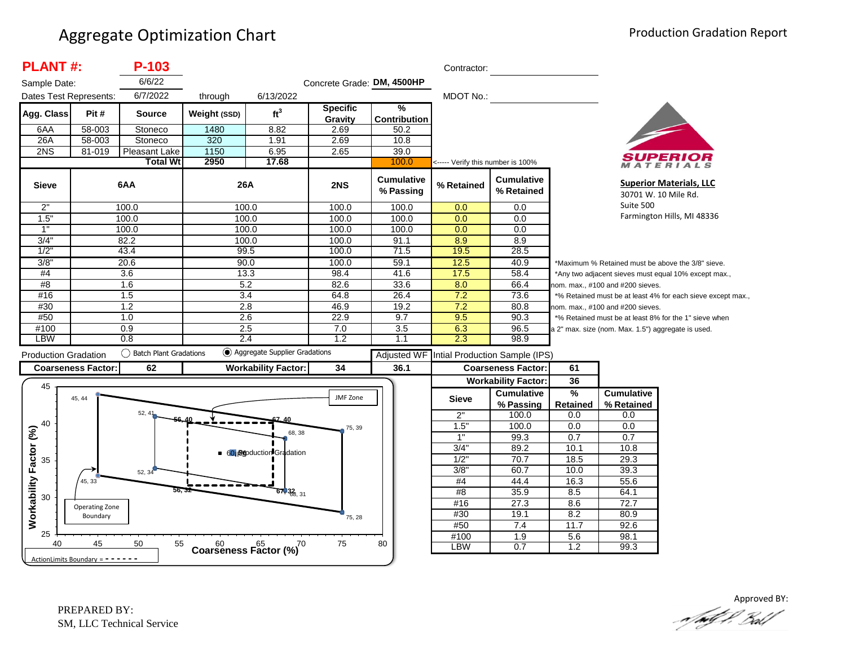| <b>PLANT#:</b>               |                                     | P-103                     |              |                                            |                            |                                      | Contractor:                       |                                 |                                                             |                                                    |                                                        |
|------------------------------|-------------------------------------|---------------------------|--------------|--------------------------------------------|----------------------------|--------------------------------------|-----------------------------------|---------------------------------|-------------------------------------------------------------|----------------------------------------------------|--------------------------------------------------------|
| Sample Date:                 |                                     | 6/6/22                    |              |                                            | Concrete Grade: DM, 4500HP |                                      |                                   |                                 |                                                             |                                                    |                                                        |
| Dates Test Represents:       |                                     | 6/7/2022                  | through      | 6/13/2022                                  |                            |                                      | MDOT No.:                         |                                 |                                                             |                                                    |                                                        |
| Agg. Class                   | Pit#                                | <b>Source</b>             | Weight (SSD) | ft <sup>3</sup>                            | <b>Specific</b><br>Gravity | $\frac{9}{6}$<br><b>Contribution</b> |                                   |                                 |                                                             |                                                    |                                                        |
| 6AA                          | 58-003                              | Stoneco                   | 1480         | 8.82                                       | 2.69                       | 50.2                                 |                                   |                                 |                                                             |                                                    |                                                        |
| 26A                          | 58-003                              | Stoneco                   | 320          | 1.91                                       | 2.69                       | 10.8                                 |                                   |                                 |                                                             |                                                    |                                                        |
| 2NS                          | 81-019                              | Pleasant Lake             | 1150         | 6.95                                       | 2.65                       | 39.0                                 |                                   |                                 |                                                             |                                                    |                                                        |
|                              |                                     | <b>Total Wt</b>           | 2950         | 17.68                                      |                            | 100.0                                | <----- Verify this number is 100% |                                 |                                                             |                                                    | MATERIALS                                              |
| <b>Sieve</b>                 |                                     | 6AA                       | 26A          |                                            | 2NS                        | <b>Cumulative</b><br>% Passing       | % Retained                        | <b>Cumulative</b><br>% Retained |                                                             |                                                    | <b>Superior Materials, LLC</b><br>30701 W. 10 Mile Rd. |
| 2"                           |                                     | 100.0                     |              | 100.0                                      | 100.0                      | 100.0                                | 0.0                               | 0.0                             | Suite 500                                                   |                                                    |                                                        |
| 1.5"                         |                                     | 100.0                     | 100.0        |                                            | 100.0                      | 100.0                                | 0.0                               | 0.0                             | Farmington Hills, MI 48336                                  |                                                    |                                                        |
| 1"                           |                                     | 100.0                     | 100.0        |                                            | 100.0                      | 100.0                                | 0.0                               | 0.0                             |                                                             |                                                    |                                                        |
| 3/4"                         |                                     | 82.2                      | 100.0        |                                            | 100.0                      | 91.1                                 | 8.9                               | 8.9                             |                                                             |                                                    |                                                        |
| 1/2                          |                                     | 43.4                      | 99.5         |                                            | 100.0                      | 71.5                                 | 19.5                              | 28.5                            |                                                             |                                                    |                                                        |
| 3/8"                         |                                     | 20.6                      | 90.0         |                                            | 100.0                      | 59.1                                 | 12.5                              | 40.9                            |                                                             |                                                    | *Maximum % Retained must be above the 3/8" sieve.      |
| #4                           | 13.3<br>3.6                         |                           |              |                                            | 98.4                       | 41.6                                 | 17.5                              | 58.4                            | *Any two adjacent sieves must equal 10% except max.,        |                                                    |                                                        |
| #8                           |                                     | 1.6                       | 5.2          |                                            | 82.6                       | 33.6                                 | 8.0                               | 66.4                            |                                                             | nom. max., #100 and #200 sieves.                   |                                                        |
| #16                          |                                     | 1.5                       |              | 3.4                                        | 64.8                       | 26.4                                 | 7.2                               | 73.6                            | *% Retained must be at least 4% for each sieve except max., |                                                    |                                                        |
| #30                          |                                     | 1.2                       | 2.8          |                                            | 46.9                       | 19.2                                 | 7.2                               | 80.8                            |                                                             | nom. max., #100 and #200 sieves.                   |                                                        |
| #50                          |                                     | 1.0                       |              | 2.6                                        | 22.9                       | 9.7                                  | 9.5                               | 90.3                            |                                                             |                                                    | *% Retained must be at least 8% for the 1" sieve when  |
| #100                         |                                     | 0.9                       | 2.5          |                                            | 7.0                        | 3.5                                  | 6.3                               | 96.5                            |                                                             | a 2" max. size (nom. Max. 1.5") aggregate is used. |                                                        |
| <b>LBW</b>                   |                                     | 0.8                       |              | 2.4                                        | 1.2                        | 1.1                                  | 2.3                               | 98.9                            |                                                             |                                                    |                                                        |
| <b>Production Gradation</b>  |                                     | () Batch Plant Gradations |              | Aggregate Supplier Gradations              |                            | <b>Adjusted WF</b>                   |                                   | Intial Production Sample (IPS)  |                                                             |                                                    |                                                        |
|                              | <b>Coarseness Factor:</b>           | 62                        |              | <b>Workability Factor:</b>                 | 34                         | 36.1                                 |                                   | <b>Coarseness Factor:</b>       | 61                                                          |                                                    |                                                        |
|                              |                                     |                           |              |                                            |                            |                                      |                                   | <b>Workability Factor:</b>      | 36                                                          |                                                    |                                                        |
| 45                           |                                     |                           |              |                                            |                            |                                      |                                   | <b>Cumulative</b>               | $\frac{9}{6}$                                               | <b>Cumulative</b>                                  |                                                        |
|                              | 45, 44                              |                           |              |                                            | JMF Zone                   |                                      | <b>Sieve</b>                      | % Passing                       | Retained                                                    | % Retained                                         |                                                        |
|                              |                                     | 52, 41                    |              |                                            |                            |                                      | 2"                                | 100.0                           | 0.0                                                         | 0.0                                                |                                                        |
| 40                           |                                     |                           |              |                                            | 75, 39                     |                                      | 1.5"                              | 100.0                           | 0.0                                                         | 0.0                                                |                                                        |
|                              |                                     |                           |              | 68, 38                                     |                            |                                      | 1"                                | 99.3                            | 0.7                                                         | 0.7                                                |                                                        |
|                              |                                     |                           |              | ■ 60 Boduction Gradation                   |                            |                                      | 3/4"                              | 89.2                            | 10.1                                                        | 10.8                                               |                                                        |
| 35                           |                                     |                           |              |                                            |                            |                                      | 1/2"                              | 70.7                            | 18.5                                                        | 29.3                                               |                                                        |
|                              |                                     | 52, 34                    |              |                                            |                            |                                      | 3/8"                              | 60.7                            | 10.0                                                        | 39.3                                               |                                                        |
|                              | 45, 33                              |                           |              |                                            |                            |                                      | #4                                | 44.4                            | 16.3                                                        | 55.6                                               |                                                        |
| Workability Factor (%)<br>30 |                                     | 56.                       |              | $67,32$ <sub>6, 31</sub>                   |                            |                                      | #8                                | 35.9                            | 8.5                                                         | 64.1                                               |                                                        |
|                              | Operating Zone                      |                           |              |                                            |                            |                                      | #16                               | 27.3                            | 8.6                                                         | 72.7                                               |                                                        |
|                              | Boundary                            |                           |              |                                            | 75, 28                     |                                      | #30                               | 19.1                            | 8.2                                                         | 80.9                                               |                                                        |
|                              |                                     |                           |              |                                            |                            |                                      | #50                               | 7.4                             | 11.7                                                        | 92.6                                               |                                                        |
| 25                           |                                     |                           |              |                                            |                            |                                      | #100                              | $\overline{1.9}$                | 5.6                                                         | 98.1                                               |                                                        |
| 40                           | 45                                  | 50<br>55                  |              | $60$ $65$ $65$ Coarseness Factor (%)<br>70 | 75                         | 80                                   | LBW                               | 0.7                             | 1.2                                                         | 99.3                                               |                                                        |
|                              | ActionLimits Boundary = $- - - - -$ |                           |              |                                            |                            |                                      |                                   |                                 |                                                             |                                                    |                                                        |

Approved BY:<br>And P. Ball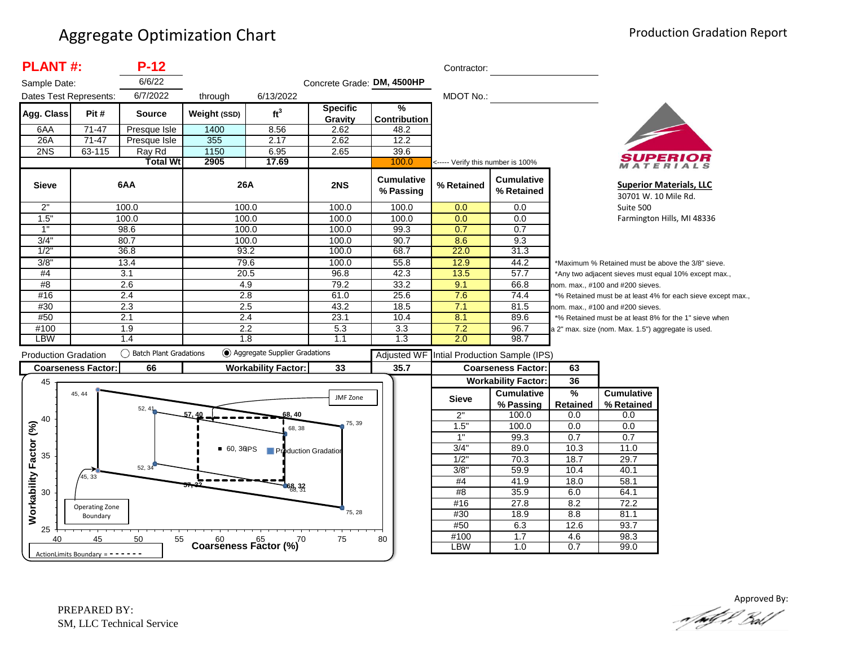| <b>PLANT#:</b>              |                                     | $P-12$                    |                  |                               |                            |                                | Contractor:               |                                               |                                                      |                                                    |                                                             |  |
|-----------------------------|-------------------------------------|---------------------------|------------------|-------------------------------|----------------------------|--------------------------------|---------------------------|-----------------------------------------------|------------------------------------------------------|----------------------------------------------------|-------------------------------------------------------------|--|
| Sample Date:                |                                     | 6/6/22                    |                  |                               | Concrete Grade: DM, 4500HP |                                |                           |                                               |                                                      |                                                    |                                                             |  |
| Dates Test Represents:      |                                     | 6/7/2022                  | through          | 6/13/2022                     |                            |                                | MDOT No.:                 |                                               |                                                      |                                                    |                                                             |  |
|                             |                                     |                           |                  |                               | <b>Specific</b>            | $\frac{9}{6}$                  |                           |                                               |                                                      |                                                    |                                                             |  |
| Agg. Class                  | Pit#                                | <b>Source</b>             | Weight (SSD)     | ft <sup>3</sup>               | Gravity                    | <b>Contribution</b>            |                           |                                               |                                                      |                                                    |                                                             |  |
| 6AA                         | $71 - 47$                           | Presque Isle              | 1400             | 8.56                          | 2.62                       | 48.2                           |                           |                                               |                                                      |                                                    |                                                             |  |
| 26A                         | $71-47$                             | Presque Isle              | 355              | 2.17                          | 2.62                       | 12.2                           |                           |                                               |                                                      |                                                    |                                                             |  |
| 2NS                         | $63 - 115$                          | Ray Rd                    | 1150             | 6.95                          | 2.65                       | 39.6                           |                           |                                               |                                                      |                                                    |                                                             |  |
|                             |                                     | <b>Total Wt</b>           | 2905             | 17.69                         |                            | 100.0                          |                           | <----- Verify this number is 100%<br>ATERIALS |                                                      |                                                    |                                                             |  |
| <b>Sieve</b>                |                                     | 6AA                       | 26A              |                               | 2NS                        | <b>Cumulative</b><br>% Passing | % Retained                | <b>Cumulative</b><br>% Retained               |                                                      |                                                    | <b>Superior Materials, LLC</b><br>30701 W. 10 Mile Rd.      |  |
| 2"                          |                                     | 100.0                     | 100.0            |                               | 100.0                      | 100.0                          | 0.0                       | 0.0                                           |                                                      | Suite 500                                          |                                                             |  |
| 1.5"                        |                                     | 100.0                     | 100.0            |                               | 100.0                      | 100.0                          | 0.0                       | 0.0                                           |                                                      |                                                    | Farmington Hills, MI 48336                                  |  |
| 1"                          |                                     | 98.6                      | 100.0            |                               | 100.0                      | 99.3                           | 0.7                       | 0.7                                           |                                                      |                                                    |                                                             |  |
| 3/4"                        |                                     | 80.7                      | 100.0            |                               | 100.0                      | 90.7                           | 8.6                       | 9.3                                           |                                                      |                                                    |                                                             |  |
| $1/2$ <sup>'</sup>          |                                     | 36.8                      | 93.2             |                               | 100.0                      | 68.7                           | 22.0                      | 31.3                                          |                                                      |                                                    |                                                             |  |
| 3/8'                        |                                     | 13.4                      | 79.6             |                               | 100.0                      | 55.8                           | 12.9                      | 44.2                                          |                                                      |                                                    | *Maximum % Retained must be above the 3/8" sieve.           |  |
| #4                          | 3.1                                 |                           | 20.5             |                               | 96.8                       | 42.3                           | 13.5                      | 57.7                                          | *Any two adjacent sieves must equal 10% except max., |                                                    |                                                             |  |
| #8                          |                                     | 2.6                       | 4.9              |                               | 79.2                       | 33.2                           | 9.1                       | 66.8                                          | nom. max., #100 and #200 sieves.                     |                                                    |                                                             |  |
| #16                         |                                     | 2.4                       | $\overline{2.8}$ |                               | 61.0                       | 25.6                           | 7.6                       | 74.4                                          |                                                      |                                                    | *% Retained must be at least 4% for each sieve except max., |  |
| #30                         |                                     | 2.3                       | 2.5              |                               | 43.2                       | 18.5                           | 7.1                       | 81.5                                          |                                                      | nom. max., #100 and #200 sieves.                   |                                                             |  |
| #50                         |                                     | 2.1                       | 2.4              |                               | 23.1                       | 10.4                           | 8.1                       | 89.6                                          |                                                      |                                                    | *% Retained must be at least 8% for the 1" sieve when       |  |
| #100                        |                                     | 1.9                       | 2.2              |                               | 5.3                        | 3.3                            | 7.2                       | 96.7                                          |                                                      | a 2" max. size (nom. Max. 1.5") aggregate is used. |                                                             |  |
| <b>LBW</b>                  |                                     | 1.4                       | 1.8              |                               | 1.1                        | 1.3                            | 2.0                       | 98.7                                          |                                                      |                                                    |                                                             |  |
| <b>Production Gradation</b> |                                     | () Batch Plant Gradations |                  | Aggregate Supplier Gradations |                            | Adjusted WF                    |                           | Intial Production Sample (IPS)                |                                                      |                                                    |                                                             |  |
|                             | <b>Coarseness Factor:</b>           | 66                        |                  | <b>Workability Factor:</b>    | 33                         | 35.7                           | <b>Coarseness Factor:</b> |                                               | 63                                                   |                                                    |                                                             |  |
| 45                          |                                     |                           |                  |                               |                            |                                |                           | <b>Workability Factor:</b>                    | 36                                                   |                                                    |                                                             |  |
|                             | 45, 44                              |                           |                  |                               | JMF Zone                   |                                | <b>Sieve</b>              | <b>Cumulative</b>                             | %                                                    | <b>Cumulative</b>                                  |                                                             |  |
|                             |                                     | 52, 41                    |                  |                               |                            |                                |                           | % Passing                                     | Retained                                             | % Retained                                         |                                                             |  |
| 40                          |                                     |                           | 57.40            | 68, 40                        |                            |                                | 2"                        | 100.0                                         | 0.0                                                  | 0.0                                                |                                                             |  |
|                             |                                     |                           |                  | 68, 38                        | 75, 39                     |                                | 1.5"                      | 100.0                                         | 0.0                                                  | 0.0                                                |                                                             |  |
|                             |                                     |                           |                  |                               |                            |                                | 1"                        | 99.3                                          | 0.7                                                  | 0.7                                                |                                                             |  |
|                             |                                     |                           | 60, 36PS         | Production Gradation          |                            |                                | 3/4"                      | 89.0                                          | 10.3                                                 | 11.0                                               |                                                             |  |
| 35                          |                                     | 52, 34                    |                  |                               |                            |                                | 1/2"                      | 70.3                                          | 18.7                                                 | 29.7                                               |                                                             |  |
|                             | 45, 33                              |                           |                  |                               |                            |                                | $3/8$ "                   | 59.9                                          | 10.4                                                 | 40.1                                               |                                                             |  |
|                             |                                     |                           |                  | 68, 32                        |                            |                                | #4                        | 41.9                                          | 18.0                                                 | 58.1                                               |                                                             |  |
| 30                          |                                     |                           |                  |                               |                            |                                | #8                        | 35.9                                          | 6.0                                                  | 64.1                                               |                                                             |  |
| Workability Factor (%)      | Operating Zone                      |                           |                  |                               |                            |                                | #16                       | 27.8                                          | 8.2                                                  | 72.2                                               |                                                             |  |
|                             | Boundary                            |                           |                  |                               | 75, 28                     |                                | #30                       | 18.9                                          | 8.8                                                  | 81.1                                               |                                                             |  |
| 25                          |                                     |                           |                  |                               |                            |                                | #50                       | 6.3                                           | 12.6                                                 | 93.7                                               |                                                             |  |
| 40                          | 45                                  | 50<br>55                  |                  | Coarseness Factor $(%)^{70}$  | 75                         | 80                             | #100<br>LBW               | 1.7                                           | 4.6                                                  | 98.3                                               |                                                             |  |
|                             | ActionLimits Boundary = $- - - - -$ |                           |                  |                               |                            |                                |                           | 1.0                                           | 0.7                                                  | 99.0                                               |                                                             |  |

Approved By:<br>Approved By: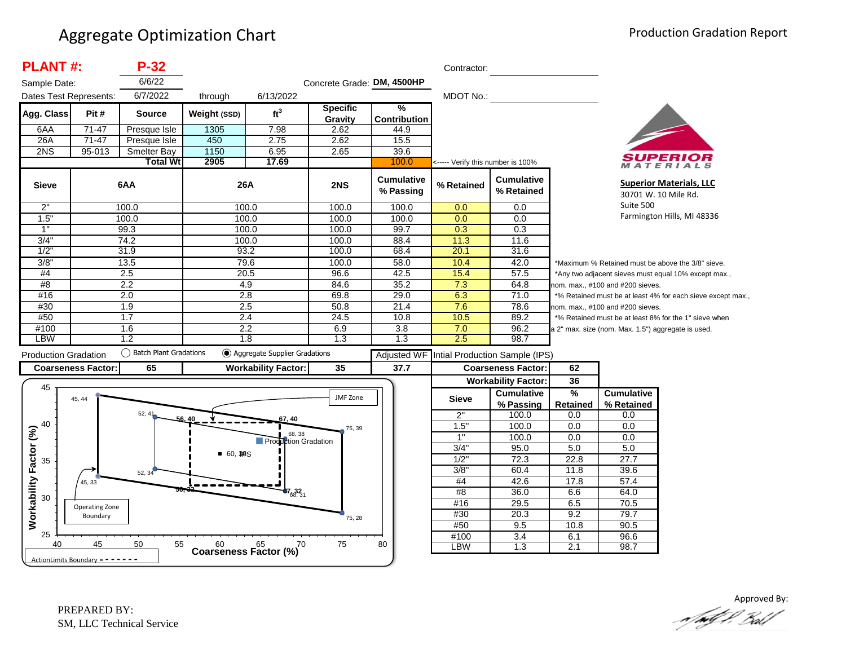| <b>PLANT#:</b>              |                                   | $P-32$                 |              |                                      |                            |                                | Contractor:                       |                                            |                                                             |                                                        |                                                       |  |
|-----------------------------|-----------------------------------|------------------------|--------------|--------------------------------------|----------------------------|--------------------------------|-----------------------------------|--------------------------------------------|-------------------------------------------------------------|--------------------------------------------------------|-------------------------------------------------------|--|
| Sample Date:                |                                   | 6/6/22                 |              |                                      | Concrete Grade: DM, 4500HP |                                |                                   |                                            |                                                             |                                                        |                                                       |  |
| Dates Test Represents:      |                                   | 6/7/2022               | through      | 6/13/2022                            |                            |                                | <b>MDOT No.:</b>                  |                                            |                                                             |                                                        |                                                       |  |
| Agg. Class                  | Pit#                              | <b>Source</b>          | Weight (SSD) | ft <sup>3</sup>                      | <b>Specific</b><br>Gravity | %<br><b>Contribution</b>       |                                   |                                            |                                                             |                                                        |                                                       |  |
| 6AA                         | $71-47$                           | Presque Isle           | 1305         | 7.98                                 | 2.62                       | 44.9                           |                                   |                                            |                                                             |                                                        |                                                       |  |
| 26A                         | $71 - 47$                         | Presque Isle           | 450          | 2.75                                 | 2.62                       | 15.5                           |                                   |                                            |                                                             |                                                        |                                                       |  |
| 2NS                         | 95-013                            | <b>Smelter Bay</b>     | 1150         | 6.95                                 | 2.65                       | 39.6                           |                                   |                                            |                                                             |                                                        |                                                       |  |
|                             |                                   | <b>Total Wt</b>        | 2905         | 17.69                                |                            | 100.0                          | <----- Verify this number is 100% |                                            |                                                             |                                                        | ATERIALS                                              |  |
| <b>Sieve</b>                |                                   | 6AA                    | 26A          |                                      | 2NS                        | <b>Cumulative</b><br>% Passing | % Retained                        | <b>Cumulative</b><br>% Retained            |                                                             | <b>Superior Materials, LLC</b><br>30701 W. 10 Mile Rd. |                                                       |  |
| 2"                          |                                   | 100.0                  |              | 100.0                                | 100.0                      | 100.0                          | 0.0                               | 0.0                                        | Suite 500                                                   |                                                        |                                                       |  |
| 1.5"                        |                                   | 100.0                  |              | 100.0                                | 100.0                      | 100.0                          | 0.0                               | 0.0                                        |                                                             | Farmington Hills, MI 48336                             |                                                       |  |
| $\overline{1}$              |                                   | 99.3                   |              | 100.0                                | 100.0                      | 99.7                           | $\overline{0.3}$                  | $\overline{0.3}$                           |                                                             |                                                        |                                                       |  |
| 3/4"                        |                                   | 74.2                   | 100.0        |                                      | 100.0                      | 88.4                           | 11.3                              | 11.6                                       |                                                             |                                                        |                                                       |  |
| 1/2                         |                                   | 31.9                   |              | 93.2                                 | 100.0                      | 68.4                           | 20.1                              | 31.6                                       |                                                             |                                                        |                                                       |  |
| 3/8"                        |                                   | 13.5                   |              | 79.6                                 | 100.0                      | 58.0                           | 10.4                              | 42.0                                       |                                                             |                                                        | *Maximum % Retained must be above the 3/8" sieve.     |  |
| #4                          |                                   | 2.5                    | 20.5         |                                      | 96.6                       | 42.5                           | 15.4                              | 57.5                                       |                                                             |                                                        | *Any two adjacent sieves must equal 10% except max.,  |  |
| #8                          |                                   | $\overline{2.2}$       | 4.9          |                                      | 84.6                       | 35.2                           | 7.3                               | 64.8                                       |                                                             | nom. max., #100 and #200 sieves.                       |                                                       |  |
| #16                         |                                   | 2.0                    |              | 2.8                                  | 69.8                       | 29.0                           | 6.3                               | 71.0                                       | *% Retained must be at least 4% for each sieve except max., |                                                        |                                                       |  |
| #30                         |                                   | 1.9                    | 2.5          |                                      | 50.8                       | 21.4                           | 7.6                               | 78.6                                       | nom. max., #100 and #200 sieves.                            |                                                        |                                                       |  |
| #50                         |                                   | 1.7                    | 2.4          |                                      | 24.5                       | 10.8                           | 10.5                              | 89.2                                       |                                                             |                                                        | *% Retained must be at least 8% for the 1" sieve when |  |
| #100                        |                                   | 1.6                    | 2.2          |                                      | 6.9                        | 3.8                            | 7.0                               | 96.2                                       |                                                             | a 2" max. size (nom. Max. 1.5") aggregate is used.     |                                                       |  |
| LBW                         |                                   | 1.2                    |              | 1.8                                  | 1.3                        | 1.3                            | 2.5                               | 98.7                                       |                                                             |                                                        |                                                       |  |
| <b>Production Gradation</b> |                                   | Batch Plant Gradations |              | (c) Aggregate Supplier Gradations    |                            |                                |                                   | Adjusted WF Intial Production Sample (IPS) |                                                             |                                                        |                                                       |  |
|                             | <b>Coarseness Factor:</b>         | 65                     |              | <b>Workability Factor:</b>           | 35                         | 37.7                           |                                   | <b>Coarseness Factor:</b>                  | 62                                                          |                                                        |                                                       |  |
|                             |                                   |                        |              |                                      |                            |                                |                                   | <b>Workability Factor:</b>                 | 36                                                          |                                                        |                                                       |  |
| 45                          |                                   |                        |              |                                      |                            |                                |                                   | <b>Cumulative</b>                          | %                                                           | <b>Cumulative</b>                                      |                                                       |  |
|                             | 45, 44                            |                        |              |                                      | JMF Zone                   |                                | <b>Sieve</b>                      | % Passing                                  | Retained                                                    | % Retained                                             |                                                       |  |
|                             |                                   | 52, 41                 |              | i7, 40                               |                            |                                | 2"                                | 100.0                                      | 0.0                                                         | 0.0                                                    |                                                       |  |
| 40                          |                                   |                        |              |                                      | 75, 39                     |                                | 1.5"                              | 100.0                                      | 0.0                                                         | 0.0                                                    |                                                       |  |
|                             |                                   |                        |              | 68, 38<br>Production Gradation       |                            |                                | 1"                                | 100.0                                      | 0.0                                                         | 0.0                                                    |                                                       |  |
|                             |                                   |                        |              |                                      |                            |                                | 3/4"                              | 95.0                                       | 5.0                                                         | 5.0                                                    |                                                       |  |
| 35                          |                                   |                        | • 60, 30S    |                                      |                            |                                | 1/2"                              | 72.3                                       | 22.8                                                        | 27.7                                                   |                                                       |  |
|                             |                                   | 52, 34                 |              |                                      |                            |                                | 3/8"                              | 60.4                                       | 11.8                                                        | 39.6                                                   |                                                       |  |
| Workability Factor (%)      | 45, 33                            |                        |              |                                      |                            |                                | $\#4$                             | 42.6                                       | 17.8                                                        | 57.4                                                   |                                                       |  |
| 30                          |                                   |                        |              | $67_{68,31}$                         |                            |                                | #8                                | 36.0                                       | 6.6                                                         | 64.0                                                   |                                                       |  |
|                             | Operating Zone                    |                        |              |                                      |                            |                                | #16                               | 29.5                                       | 6.5                                                         | 70.5                                                   |                                                       |  |
|                             | Boundary                          |                        |              |                                      | 75, 28                     |                                | #30                               | 20.3                                       | 9.2                                                         | 79.7                                                   |                                                       |  |
|                             |                                   |                        |              |                                      |                            |                                | #50                               | 9.5                                        | 10.8                                                        | 90.5                                                   |                                                       |  |
| 25                          |                                   |                        |              |                                      |                            |                                | #100                              | $\overline{3.4}$                           | 6.1                                                         | 96.6                                                   |                                                       |  |
| 40                          | 45                                | 50<br>55               |              | Coarseness Factor $\binom{60}{6}$ 70 | 75                         | 80                             | LBW                               | 1.3                                        | 2.1                                                         | 98.7                                                   |                                                       |  |
|                             | ActionLimits Boundary = - - - - - |                        |              |                                      |                            |                                |                                   |                                            |                                                             |                                                        |                                                       |  |

Approved By:<br>Approved By: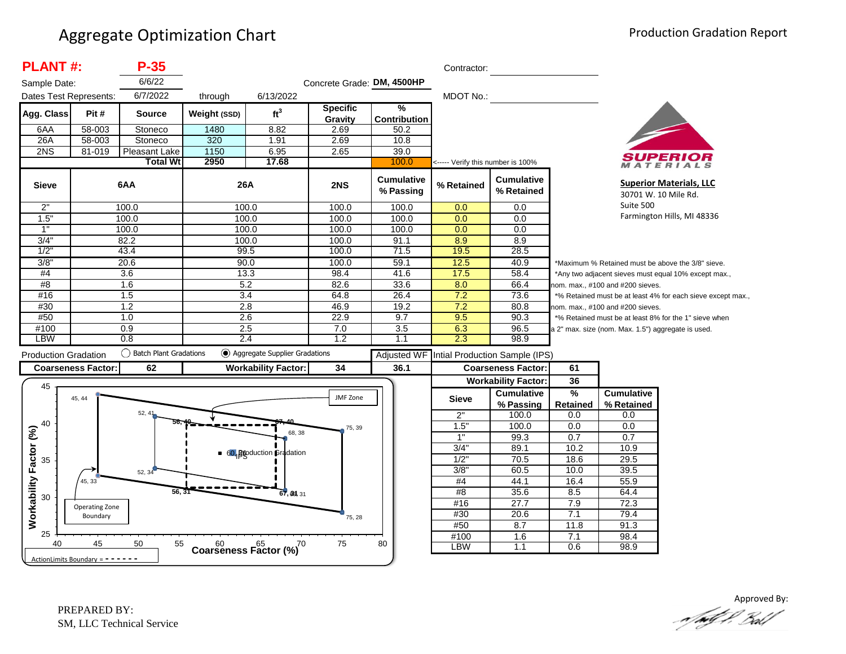| <b>PLANT#:</b>                      |                                   | $P-35$                    |              |                                         |                            |                                | Contractor:      |                                   |                      |                                                    |                                                             |  |
|-------------------------------------|-----------------------------------|---------------------------|--------------|-----------------------------------------|----------------------------|--------------------------------|------------------|-----------------------------------|----------------------|----------------------------------------------------|-------------------------------------------------------------|--|
| Sample Date:                        |                                   | 6/6/22                    |              |                                         | Concrete Grade: DM, 4500HP |                                |                  |                                   |                      |                                                    |                                                             |  |
| Dates Test Represents:              |                                   | 6/7/2022                  | through      | 6/13/2022                               |                            |                                | <b>MDOT No.:</b> |                                   |                      |                                                    |                                                             |  |
| Agg. Class                          | Pit#                              | <b>Source</b>             | Weight (SSD) | ft <sup>3</sup>                         | <b>Specific</b><br>Gravity | ℅<br><b>Contribution</b>       |                  |                                   |                      |                                                    |                                                             |  |
| 6AA                                 | 58-003                            | Stoneco                   | 1480         | 8.82                                    | 2.69                       | 50.2                           |                  |                                   |                      |                                                    |                                                             |  |
| 26A                                 | 58-003                            | Stoneco                   | 320          | 1.91                                    | 2.69                       | 10.8                           |                  |                                   |                      |                                                    |                                                             |  |
| 2NS                                 | 81-019                            | Pleasant Lake             | 1150         | 6.95                                    | 2.65                       | 39.0                           |                  |                                   |                      |                                                    |                                                             |  |
|                                     |                                   | <b>Total Wt</b>           | 2950         | 17.68                                   |                            | 100.0                          |                  | <----- Verify this number is 100% |                      |                                                    | ATERIALS                                                    |  |
| <b>Sieve</b>                        |                                   | 6AA                       | 26A          |                                         | 2NS                        | <b>Cumulative</b><br>% Passing | % Retained       | <b>Cumulative</b><br>% Retained   |                      |                                                    | <b>Superior Materials, LLC</b><br>30701 W. 10 Mile Rd.      |  |
| 2"                                  |                                   | 100.0                     |              | 100.0                                   | 100.0                      | 100.0                          | 0.0              | 0.0                               | Suite 500            |                                                    |                                                             |  |
| 1.5"                                |                                   | 100.0                     | 100.0        |                                         | 100.0                      | 100.0                          | 0.0              | 0.0                               |                      |                                                    | Farmington Hills, MI 48336                                  |  |
| 1"                                  |                                   | 100.0                     | 100.0        |                                         | 100.0                      | 100.0                          | 0.0              | 0.0                               |                      |                                                    |                                                             |  |
| 3/4"                                |                                   | 82.2                      | 100.0        |                                         | 100.0                      | 91.1                           | 8.9              | 8.9                               |                      |                                                    |                                                             |  |
| 1/2                                 |                                   | 43.4                      |              | 99.5                                    | 100.0                      | 71.5                           | 19.5             | 28.5                              |                      |                                                    |                                                             |  |
| 3/8"                                |                                   | 20.6                      |              | 90.0                                    | 100.0                      | 59.1                           | 12.5             | 40.9                              |                      |                                                    | *Maximum % Retained must be above the 3/8" sieve.           |  |
| #4                                  |                                   | 3.6                       |              | 13.3                                    | 98.4                       | 41.6                           | 17.5             | 58.4                              |                      |                                                    | *Any two adjacent sieves must equal 10% except max.,        |  |
| #8                                  |                                   | 1.6                       | 5.2          |                                         | 82.6                       | 33.6                           | 8.0              | 66.4                              |                      | nom. max., #100 and #200 sieves.                   |                                                             |  |
| #16                                 |                                   | 1.5                       |              | 3.4                                     | 64.8                       | 26.4                           | 7.2              | 73.6                              |                      |                                                    | *% Retained must be at least 4% for each sieve except max., |  |
| #30                                 |                                   | 1.2                       | 2.8          |                                         | 46.9                       | 19.2                           | 7.2              | 80.8                              |                      | nom. max., #100 and #200 sieves.                   |                                                             |  |
| #50                                 |                                   | 1.0                       | 2.6          |                                         | 22.9                       | 9.7                            | 9.5              | 90.3                              |                      |                                                    | *% Retained must be at least 8% for the 1" sieve when       |  |
| #100                                |                                   | 0.9                       | 2.5          |                                         | 7.0                        | 3.5                            | 6.3              | 96.5                              |                      | a 2" max. size (nom. Max. 1.5") aggregate is used. |                                                             |  |
| <b>LBW</b>                          |                                   | 0.8                       |              | 2.4                                     | 1.2                        | 1.1                            | 2.3              | 98.9                              |                      |                                                    |                                                             |  |
| <b>Production Gradation</b>         |                                   | () Batch Plant Gradations |              | (c) Aggregate Supplier Gradations       |                            | <b>Adjusted WF</b>             |                  | Intial Production Sample (IPS)    |                      |                                                    |                                                             |  |
|                                     | <b>Coarseness Factor:</b>         | 62                        |              | <b>Workability Factor:</b>              | 34                         | 36.1                           |                  | <b>Coarseness Factor:</b>         | 61                   |                                                    |                                                             |  |
| 45                                  |                                   |                           |              |                                         |                            |                                |                  | <b>Workability Factor:</b>        | 36                   |                                                    |                                                             |  |
|                                     | 45, 44                            |                           |              |                                         | JMF Zone                   |                                | <b>Sieve</b>     | <b>Cumulative</b><br>% Passing    | %<br><b>Retained</b> | <b>Cumulative</b><br>% Retained                    |                                                             |  |
|                                     |                                   | 52.4 <sup>°</sup>         |              |                                         |                            |                                | 2"               | 100.0                             | 0.0                  | 0.0                                                |                                                             |  |
| 40                                  |                                   |                           |              |                                         | 75, 39                     |                                | 1.5              | 100.0                             | 0.0                  | 0.0                                                |                                                             |  |
|                                     |                                   |                           |              | 68, 38                                  |                            |                                | 1"               | 99.3                              | 0.7                  | 0.7                                                |                                                             |  |
|                                     |                                   |                           |              | 60, Bigoduction Gradation               |                            |                                | 3/4"             | 89.1                              | 10.2                 | 10.9                                               |                                                             |  |
| 35                                  |                                   |                           |              |                                         |                            |                                | 1/2"             | 70.5                              | 18.6                 | 29.5                                               |                                                             |  |
|                                     |                                   | 52, 34                    |              |                                         |                            |                                | 3/8"             | 60.5                              | 10.0                 | 39.5                                               |                                                             |  |
|                                     | 45, 33                            |                           |              |                                         |                            |                                | #4               | 44.1                              | 16.4                 | 55.9                                               |                                                             |  |
| <b>Norkability Factor (%)</b><br>30 |                                   | 56, 31                    |              | 67, 39, 31                              |                            |                                | #8               | 35.6                              | 8.5                  | 64.4                                               |                                                             |  |
|                                     | Operating Zone                    |                           |              |                                         |                            |                                | #16              | 27.7                              | 7.9                  | 72.3                                               |                                                             |  |
|                                     | Boundary                          |                           |              |                                         | 75, 28                     |                                | #30              | 20.6                              | 7.1                  | 79.4                                               |                                                             |  |
|                                     |                                   |                           |              |                                         |                            |                                | #50              | 8.7                               | 11.8                 | 91.3                                               |                                                             |  |
| 25                                  |                                   |                           |              |                                         |                            |                                | #100             | 1.6                               | 7.1                  | 98.4                                               |                                                             |  |
| 40                                  | 45                                | 50<br>55                  |              | $60$ $65$ $70$<br>Coarseness Factor (%) | 75                         | 80                             | <b>LBW</b>       | 1.1                               | 0.6                  | 98.9                                               |                                                             |  |
|                                     | ActionLimits Boundary = - - - - - |                           |              |                                         |                            |                                |                  |                                   |                      |                                                    |                                                             |  |

Approved By:<br>Approved By: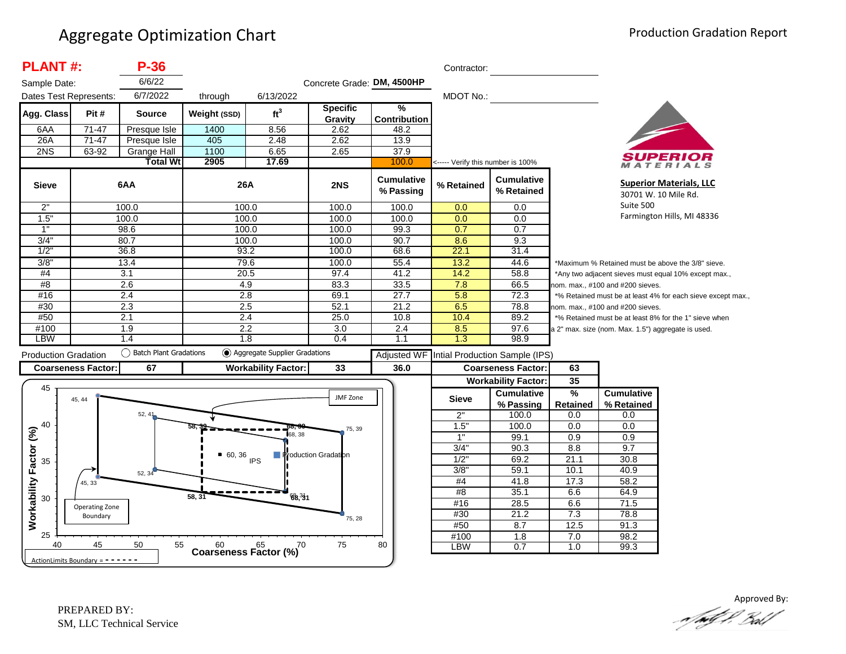| <b>PLANT#:</b>              |                            | $P-36$                             |                                      |                                   |                            |                                | Contractor:                       |                                 |                                                             |                                                    |                                                       |  |
|-----------------------------|----------------------------|------------------------------------|--------------------------------------|-----------------------------------|----------------------------|--------------------------------|-----------------------------------|---------------------------------|-------------------------------------------------------------|----------------------------------------------------|-------------------------------------------------------|--|
| Sample Date:                |                            | 6/6/22                             |                                      |                                   | Concrete Grade: DM, 4500HP |                                |                                   |                                 |                                                             |                                                    |                                                       |  |
| Dates Test Represents:      |                            | 6/7/2022                           | through                              | 6/13/2022                         |                            |                                | <b>MDOT No.:</b>                  |                                 |                                                             |                                                    |                                                       |  |
| Agg. Class                  | Pit#                       | <b>Source</b>                      | Weight (SSD)                         | ft <sup>3</sup>                   | <b>Specific</b><br>Gravity | %<br><b>Contribution</b>       |                                   |                                 |                                                             |                                                    |                                                       |  |
| 6AA                         | 71-47                      | Presque Isle                       | 1400                                 | 8.56                              | 2.62                       | 48.2                           |                                   |                                 |                                                             |                                                    |                                                       |  |
| 26A                         | $71-47$                    | Presque Isle                       | 405                                  | 2.48                              | 2.62                       | 13.9                           |                                   |                                 |                                                             |                                                    |                                                       |  |
| 2NS                         | 63-92                      | <b>Grange Hall</b>                 | 1100                                 | 6.65                              | 2.65                       | 37.9                           |                                   |                                 |                                                             |                                                    |                                                       |  |
|                             |                            | <b>Total Wt</b>                    | 2905                                 | 17.69                             |                            | 100.0                          | <----- Verify this number is 100% |                                 |                                                             |                                                    | ATERIALS                                              |  |
| <b>Sieve</b>                |                            | 6AA                                | 26A                                  |                                   | 2NS                        | <b>Cumulative</b><br>% Passing | % Retained                        | <b>Cumulative</b><br>% Retained |                                                             | 30701 W. 10 Mile Rd.                               | <b>Superior Materials, LLC</b>                        |  |
| 2"                          |                            | 100.0                              | 100.0                                |                                   | 100.0                      | 100.0                          | 0.0                               | 0.0                             | Suite 500                                                   |                                                    |                                                       |  |
| 1.5"                        |                            | 100.0                              |                                      | 100.0                             | 100.0                      | 100.0                          | 0.0                               | 0.0                             | Farmington Hills, MI 48336                                  |                                                    |                                                       |  |
| 1"                          |                            | 98.6                               | 100.0                                |                                   | 100.0                      | 99.3                           | 0.7                               | 0.7                             |                                                             |                                                    |                                                       |  |
| 3/4"                        |                            | 80.7                               | 100.0                                |                                   | 100.0                      | 90.7                           | 8.6                               | 9.3                             |                                                             |                                                    |                                                       |  |
| 1/2"                        |                            | 36.8                               | 93.2                                 |                                   | 100.0                      | 68.6                           | 22.1                              | 31.4                            |                                                             |                                                    |                                                       |  |
| 3/8"                        |                            | 13.4                               | 79.6                                 |                                   | 100.0                      | 55.4                           | 13.2                              | 44.6                            |                                                             |                                                    | *Maximum % Retained must be above the 3/8" sieve.     |  |
| #4                          |                            | $\overline{3.1}$                   |                                      | 20.5                              | 97.4                       | 41.2                           | 14.2                              | 58.8                            |                                                             |                                                    | *Any two adjacent sieves must equal 10% except max.,  |  |
| #8                          |                            | 2.6                                | 4.9                                  |                                   | 83.3                       | 33.5                           | 7.8                               | 66.5                            |                                                             | nom. max., #100 and #200 sieves.                   |                                                       |  |
| #16                         |                            | 2.4                                | 2.8                                  |                                   | 69.1                       | 27.7                           | 5.8                               | 72.3                            | *% Retained must be at least 4% for each sieve except max., |                                                    |                                                       |  |
| #30                         |                            | 2.3                                | 2.5                                  |                                   | 52.1                       | 21.2                           | 6.5                               | 78.8                            |                                                             | nom. max., #100 and #200 sieves.                   |                                                       |  |
| #50                         |                            | 2.1                                | 2.4                                  |                                   | 25.0                       | 10.8                           | 10.4                              | 89.2                            |                                                             |                                                    | *% Retained must be at least 8% for the 1" sieve when |  |
| #100                        |                            | 1.9                                | $\overline{2.2}$                     |                                   | 3.0                        | 2.4                            | 8.5                               | 97.6                            |                                                             | a 2" max. size (nom. Max. 1.5") aggregate is used. |                                                       |  |
| <b>LBW</b>                  |                            | 1.4                                | 1.8                                  |                                   | 0.4                        | 1.1                            | 1.3                               | 98.9                            |                                                             |                                                    |                                                       |  |
| <b>Production Gradation</b> |                            | ◯<br><b>Batch Plant Gradations</b> |                                      | (●) Aggregate Supplier Gradations |                            | <b>Adjusted WF</b>             |                                   | Intial Production Sample (IPS)  |                                                             |                                                    |                                                       |  |
| <b>Coarseness Factor:</b>   |                            | 67                                 |                                      | <b>Workability Factor:</b>        | 33                         | 36.0                           |                                   | <b>Coarseness Factor:</b>       | 63                                                          |                                                    |                                                       |  |
|                             |                            |                                    |                                      |                                   |                            |                                |                                   | <b>Workability Factor:</b>      | 35                                                          |                                                    |                                                       |  |
| 45                          |                            |                                    |                                      |                                   |                            |                                |                                   | <b>Cumulative</b>               | $\frac{9}{6}$                                               | <b>Cumulative</b>                                  |                                                       |  |
|                             | 45, 44                     |                                    |                                      |                                   | JMF Zone                   |                                | <b>Sieve</b>                      | % Passing                       | Retained                                                    | % Retained                                         |                                                       |  |
|                             |                            | 52, 41                             |                                      |                                   |                            |                                | 2"                                | 100.0                           | 0.0                                                         | 0.0                                                |                                                       |  |
| 40                          |                            |                                    |                                      |                                   |                            |                                |                                   |                                 |                                                             |                                                    |                                                       |  |
|                             |                            |                                    |                                      |                                   |                            |                                |                                   |                                 |                                                             |                                                    |                                                       |  |
|                             |                            |                                    |                                      | 68.38                             | 75, 39                     |                                | 1.5"<br>1"                        | 100.0                           | 0.0<br>0.9                                                  | 0.0                                                |                                                       |  |
|                             |                            |                                    |                                      |                                   |                            |                                | 3/4"                              | 99.1<br>90.3                    | 8.8                                                         | 0.9<br>9.7                                         |                                                       |  |
|                             |                            |                                    |                                      |                                   | Production Gradation       |                                |                                   |                                 |                                                             |                                                    |                                                       |  |
| 35                          |                            |                                    | $60,36$ IPS                          |                                   |                            |                                | 1/2                               | 69.2                            | 21.1                                                        | 30.8<br>40.9                                       |                                                       |  |
|                             | 45, 33                     | 52, 34                             |                                      |                                   |                            |                                | 3/8"<br>#4                        | 59.1<br>41.8                    | 10.1<br>17.3                                                | 58.2                                               |                                                       |  |
|                             |                            |                                    |                                      |                                   |                            |                                | #8                                | 35.1                            | 6.6                                                         | 64.9                                               |                                                       |  |
| 30                          |                            |                                    | $58, 3^7$                            | 68.31                             |                            |                                | #16                               | 28.5                            | 6.6                                                         | 71.5                                               |                                                       |  |
|                             | Operating Zone<br>Boundary |                                    |                                      |                                   |                            |                                | #30                               | 21.2                            | 7.3                                                         | 78.8                                               |                                                       |  |
| Workability Factor (%)      |                            |                                    |                                      |                                   | 75, 28                     |                                | #50                               | 8.7                             | 12.5                                                        | 91.3                                               |                                                       |  |
| 25<br>40                    | 45                         | 50<br>55                           | $60$ $65$ $65$ Coarseness Factor (%) | .70                               | 75                         | 80                             | #100                              | $\overline{1.8}$                | 7.0                                                         | 98.2                                               |                                                       |  |

Approved By: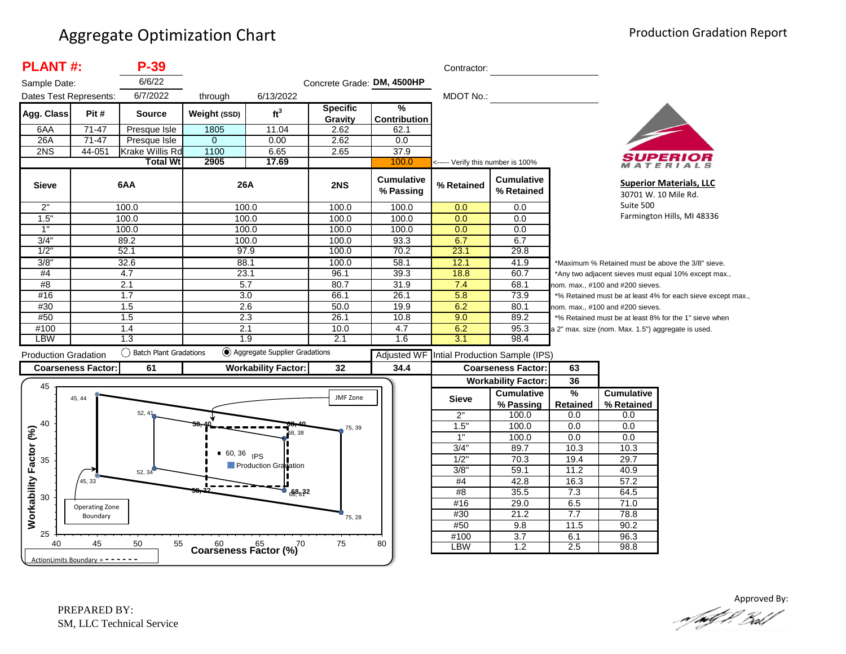| <b>PLANT#:</b>                    |                                      | P-39                   |               |                                         |                            |                                | Contractor:                       |                                            |                                                             |                                                      |                                                       |
|-----------------------------------|--------------------------------------|------------------------|---------------|-----------------------------------------|----------------------------|--------------------------------|-----------------------------------|--------------------------------------------|-------------------------------------------------------------|------------------------------------------------------|-------------------------------------------------------|
| Sample Date:                      |                                      | 6/6/22                 |               |                                         | Concrete Grade: DM, 4500HP |                                |                                   |                                            |                                                             |                                                      |                                                       |
| Dates Test Represents:            |                                      | 6/7/2022               | through       | 6/13/2022                               |                            |                                | MDOT No.:                         |                                            |                                                             |                                                      |                                                       |
| Agg. Class                        | Pit#                                 | <b>Source</b>          | Weight (SSD)  | ft <sup>3</sup>                         | <b>Specific</b><br>Gravity | %<br><b>Contribution</b>       |                                   |                                            |                                                             |                                                      |                                                       |
| 6AA                               | 71-47                                | Presque Isle           | 1805          | 11.04                                   | 2.62                       | 62.1                           |                                   |                                            |                                                             |                                                      |                                                       |
| 26A                               | $71-47$                              | Presque Isle           | $\Omega$      | 0.00                                    | 2.62                       | 0.0                            |                                   |                                            |                                                             |                                                      |                                                       |
| 2NS                               | 44-051                               | Krake Willis Rd        | 1100          | 6.65                                    | 2.65                       | 37.9                           |                                   |                                            |                                                             |                                                      |                                                       |
|                                   |                                      | <b>Total Wt</b>        | 2905          | 17.69                                   |                            | 100.0                          | <----- Verify this number is 100% |                                            |                                                             |                                                      | ATERIALS                                              |
| <b>Sieve</b>                      |                                      | 6AA                    | 26A           |                                         | 2NS                        | <b>Cumulative</b><br>% Passing | % Retained                        | <b>Cumulative</b><br>% Retained            | <b>Superior Materials, LLC</b><br>30701 W. 10 Mile Rd.      |                                                      |                                                       |
| 2"                                |                                      | 100.0                  |               | 100.0                                   | 100.0                      | 100.0                          | 0.0                               | 0.0                                        | Suite 500                                                   |                                                      |                                                       |
| 1.5"                              |                                      | 100.0                  | 100.0         |                                         | 100.0                      | 100.0                          | 0.0                               | 0.0                                        |                                                             |                                                      | Farmington Hills, MI 48336                            |
| 1"                                |                                      | 100.0                  | 100.0         |                                         | 100.0                      | 100.0                          | 0.0                               | $\overline{0.0}$                           |                                                             |                                                      |                                                       |
| 3/4"                              |                                      | 89.2                   | 100.0         |                                         | 100.0                      | 93.3                           | 6.7                               | 6.7                                        |                                                             |                                                      |                                                       |
| 1/2                               |                                      | 52.1                   | 97.9          |                                         | 100.0                      | 70.2                           | 23.1                              | 29.8                                       |                                                             |                                                      |                                                       |
| 3/8"                              |                                      | 32.6                   | 88.1          |                                         | 100.0                      | 58.1                           | 12.1                              | 41.9                                       | *Maximum % Retained must be above the 3/8" sieve.           |                                                      |                                                       |
| #4                                | 23.1<br>4.7                          |                        |               | 96.1                                    | 39.3                       | 18.8                           | 60.7                              |                                            |                                                             | *Any two adjacent sieves must equal 10% except max., |                                                       |
| #8                                | $\overline{2.1}$<br>$\overline{5.7}$ |                        |               |                                         | 80.7                       | 31.9                           | 7.4                               | 68.1                                       |                                                             | nom. max., #100 and #200 sieves.                     |                                                       |
| #16                               |                                      | 1.7                    |               | 3.0                                     | 66.1                       | 26.1                           | 5.8                               | 73.9                                       | *% Retained must be at least 4% for each sieve except max., |                                                      |                                                       |
| #30                               |                                      | 1.5                    | 2.6           |                                         | 50.0                       | 19.9                           | 6.2                               | 80.1                                       |                                                             | nom. max., #100 and #200 sieves.                     |                                                       |
| #50                               |                                      | 1.5                    | 2.3           |                                         | 26.1                       | 10.8                           | 9.0                               | 89.2                                       |                                                             |                                                      | *% Retained must be at least 8% for the 1" sieve when |
| #100                              |                                      | 1.4                    | 2.1           |                                         | 10.0                       | 4.7                            | 6.2                               | 95.3                                       |                                                             | a 2" max. size (nom. Max. 1.5") aggregate is used.   |                                                       |
| <b>LBW</b>                        |                                      | 1.3                    |               | 1.9                                     | 2.1                        | 1.6                            | 3.1                               | 98.4                                       |                                                             |                                                      |                                                       |
| <b>Production Gradation</b>       |                                      | Batch Plant Gradations |               | Aggregate Supplier Gradations           |                            |                                |                                   | Adjusted WF Intial Production Sample (IPS) |                                                             |                                                      |                                                       |
|                                   | <b>Coarseness Factor:</b>            | 61                     |               | <b>Workability Factor:</b>              | 32                         | 34.4                           |                                   | <b>Coarseness Factor:</b>                  | 63                                                          |                                                      |                                                       |
|                                   |                                      |                        |               |                                         |                            |                                |                                   | <b>Workability Factor:</b>                 | 36                                                          |                                                      |                                                       |
| 45                                |                                      |                        |               |                                         |                            |                                |                                   | <b>Cumulative</b>                          | $\frac{9}{6}$                                               | <b>Cumulative</b>                                    |                                                       |
|                                   | 45, 44                               |                        |               |                                         | JMF Zone                   |                                | <b>Sieve</b>                      | % Passing                                  | Retained                                                    | % Retained                                           |                                                       |
|                                   |                                      | 52, 41                 |               |                                         |                            |                                | 2"                                | 100.0                                      | 0.0                                                         | 0.0                                                  |                                                       |
| 40                                |                                      |                        |               |                                         | 75, 39                     |                                | 1.5'                              | 100.0                                      | $\overline{0.0}$                                            | 0.0                                                  |                                                       |
|                                   |                                      |                        |               | 68, 38                                  |                            |                                | 1"                                | 100.0                                      | 0.0                                                         | 0.0                                                  |                                                       |
|                                   |                                      |                        |               |                                         |                            |                                | 3/4"                              | 89.7                                       | 10.3                                                        | 10.3                                                 |                                                       |
| 35                                |                                      |                        | $-60, 36$ IPS |                                         |                            |                                | 1/2"                              | 70.3                                       | 19.4                                                        | 29.7                                                 |                                                       |
|                                   |                                      | 52, 34                 |               | Production Gradation                    |                            |                                | 3/8"                              | 59.1                                       | 11.2                                                        | 40.9                                                 |                                                       |
|                                   | 45, 33                               |                        |               |                                         |                            |                                | #4                                | 42.8                                       | 16.3                                                        | 57.2                                                 |                                                       |
| Workability Factor (%)            |                                      |                        |               | $\frac{1}{688832}$                      |                            |                                | #8                                | 35.5                                       | 7.3                                                         | 64.5                                                 |                                                       |
| 30                                | Operating Zone                       |                        |               |                                         |                            |                                | #16                               | 29.0                                       | 6.5                                                         | 71.0                                                 |                                                       |
|                                   | Boundary                             |                        |               |                                         | 75, 28                     |                                | #30                               | 21.2                                       | 7.7                                                         | 78.8                                                 |                                                       |
|                                   |                                      |                        |               |                                         |                            |                                | #50                               | 9.8                                        | 11.5                                                        | 90.2                                                 |                                                       |
| 25                                |                                      |                        |               |                                         |                            |                                | #100                              | $\overline{3.7}$                           | 6.1                                                         | 96.3                                                 |                                                       |
| 40                                | 45                                   | 50<br>55               |               | $60$ $65$ $70$<br>Coarseness Factor (%) | 75                         | 80                             | <b>LBW</b>                        | 1.2                                        | 2.5                                                         | 98.8                                                 |                                                       |
| ActionLimits Boundary = - - - - - |                                      |                        |               |                                         |                            |                                |                                   |                                            |                                                             |                                                      |                                                       |

Approved By:<br>Approved By: